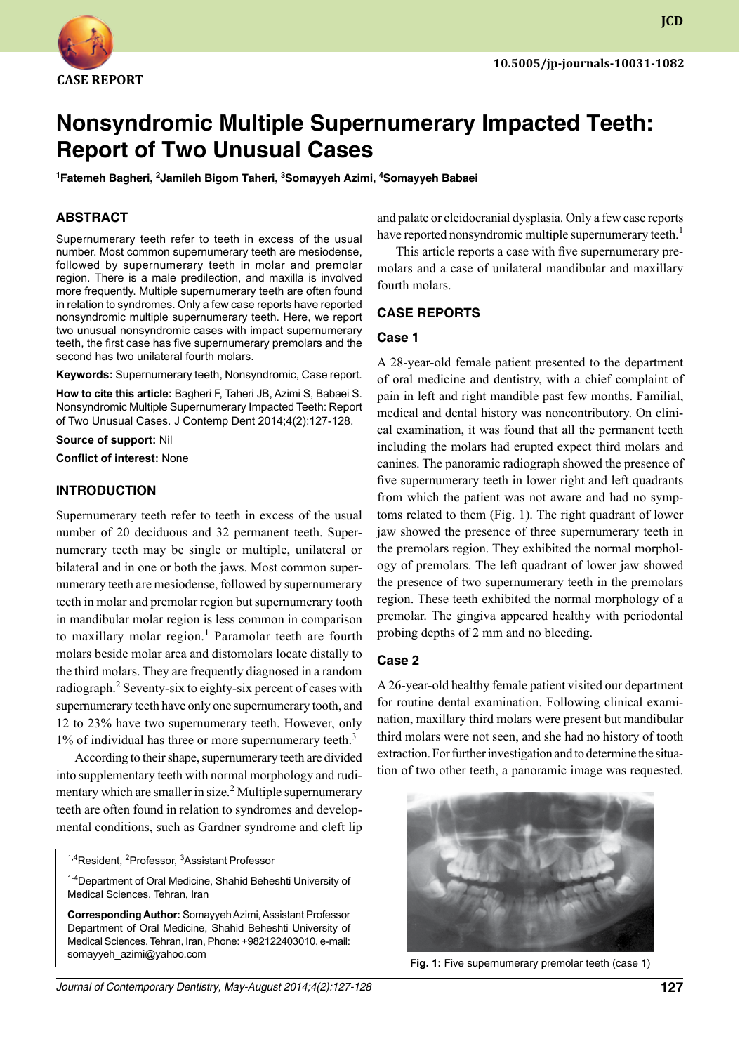

**JCD**

# **Nonsyndromic Multiple Supernumerary Impacted Teeth: Report of Two Unusual Cases**

<sup>1</sup>Fatemeh Bagheri, <sup>2</sup>Jamileh Bigom Taheri, <sup>3</sup>Somayyeh Azimi, <sup>4</sup>Somayyeh Babaei

### **ABSTRACT**

Supernumerary teeth refer to teeth in excess of the usual number. Most common supernumerary teeth are mesiodense, followed by supernumerary teeth in molar and premolar region. There is a male predilection, and maxilla is involved more frequently. Multiple supernumerary teeth are often found in relation to syndromes. Only a few case reports have reported nonsyndromic multiple supernumerary teeth. Here, we report two unusual nonsyndromic cases with impact supernumerary teeth, the first case has five supernumerary premolars and the second has two unilateral fourth molars.

Keywords: Supernumerary teeth, Nonsyndromic, Case report.

**How to cite this article:** Bagheri F, Taheri JB, Azimi S, Babaei S. Nonsyndromic Multiple Supernumerary Impacted Teeth: Report of Two Unusual Cases. J Contemp Dent 2014;4(2):127-128.

**Source of support:** Nil

**Conflict of interest:** None

# **Introduction**

Supernumerary teeth refer to teeth in excess of the usual number of 20 deciduous and 32 permanent teeth. Supernumerary teeth may be single or multiple, unilateral or bilateral and in one or both the jaws. Most common supernumerary teeth are mesiodense, followed by supernumerary teeth in molar and premolar region but supernumerary tooth in mandibular molar region is less common in comparison to maxillary molar region.<sup>1</sup> Paramolar teeth are fourth molars beside molar area and distomolars locate distally to the third molars. They are frequently diagnosed in a random radiograph.<sup>2</sup> Seventy-six to eighty-six percent of cases with supernumerary teeth have only one supernumerary tooth, and 12 to 23% have two supernumerary teeth. However, only  $1\%$  of individual has three or more supernumerary teeth.<sup>3</sup>

According to their shape, supernumerary teeth are divided into supplementary teeth with normal morphology and rudimentary which are smaller in size.<sup>2</sup> Multiple supernumerary teeth are often found in relation to syndromes and developmental conditions, such as Gardner syndrome and cleft lip

<sup>1,4</sup>Resident, <sup>2</sup>Professor, <sup>3</sup>Assistant Professor

<sup>1-4</sup>Department of Oral Medicine, Shahid Beheshti University of Medical Sciences, Tehran, Iran

**Corresponding Author:** Somayyeh Azimi, Assistant Professor Department of Oral Medicine, Shahid Beheshti University of medical sciences, Tehran, Iran, Phone: +982122403010, e-mail: somayyeh\_azimi@yahoo.com

and palate or cleidocranial dysplasia. Only a few case reports have reported nonsyndromic multiple supernumerary teeth.<sup>1</sup>

This article reports a case with five supernumerary premolars and a case of unilateral mandibular and maxillary fourth molars.

#### **case reports**

#### **Case 1**

A 28-year-old female patient presented to the department of oral medicine and dentistry, with a chief complaint of pain in left and right mandible past few months. Familial, medical and dental history was noncontributory. On clinical examination, it was found that all the permanent teeth including the molars had erupted expect third molars and canines. The panoramic radiograph showed the presence of five supernumerary teeth in lower right and left quadrants from which the patient was not aware and had no symptoms related to them (Fig. 1). The right quadrant of lower jaw showed the presence of three supernumerary teeth in the premolars region. They exhibited the normal morphology of premolars. The left quadrant of lower jaw showed the presence of two supernumerary teeth in the premolars region. These teeth exhibited the normal morphology of a premolar. The gingiva appeared healthy with periodontal probing depths of 2 mm and no bleeding.

#### **Case 2**

A 26-year-old healthy female patient visited our department for routine dental examination. Following clinical examination, maxillary third molars were present but mandibular third molars were not seen, and she had no history of tooth extraction. For further investigation and to determine the situation of two other teeth, a panoramic image was requested.



**Fig. 1:** Five supernumerary premolar teeth (case 1)